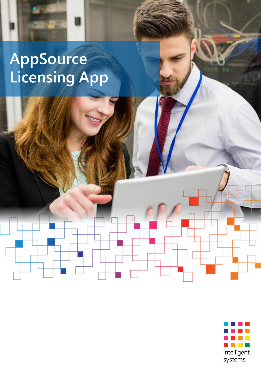# **AppSource Licensing App**

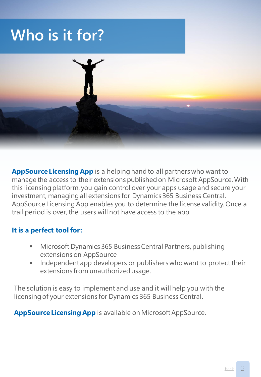### **Who is it for?**



**AppSource Licensing App** is a helping hand to all partners who want to manage the access to their extensions published on Microsoft AppSource. With this licensing platform, you gain control over your apps usage and secure your investment, managing all extensions for Dynamics 365 Business Central. AppSource Licensing App enables you to determine the license validity. Once a trail period is over, the users will not have access to the app.

#### **It is a perfect tool for:**

- Microsoft Dynamics 365 Business Central Partners, publishing extensions on AppSource
- Independent app developers or publishers who want to protect their extensions from unauthorized usage.

The solution is easy to implement and use and it will help you with the licensing of your extensions for Dynamics 365 Business Central.

<span id="page-1-0"></span>**AppSource Licensing App** is available on Microsoft AppSource.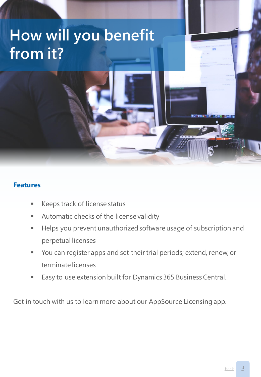## **How will you benefit from it?**

#### **Features**

- Keeps track of license status
- Automatic checks of the license validity
- **E** Helps you prevent unauthorized software usage of subscription and perpetual licenses
- You can register apps and set their trial periods; extend, renew, or terminate licenses
- Easy to use extension built for Dynamics 365 Business Central.

Get in touch with us to learn more about our AppSource Licensing app.